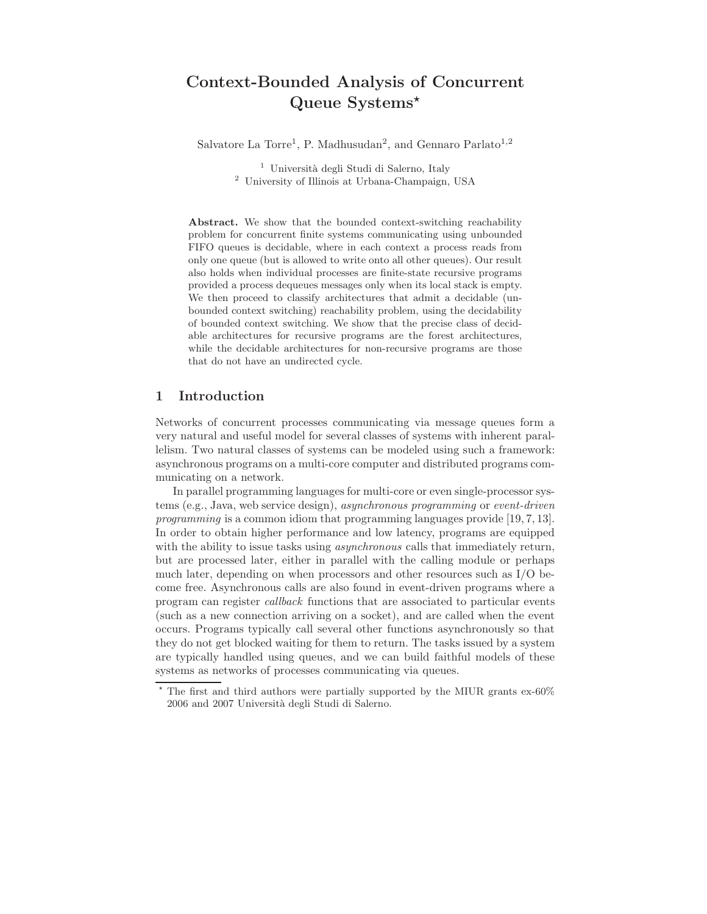# Context-Bounded Analysis of Concurrent Queue Systems\*

Salvatore La Torre<sup>1</sup>, P. Madhusudan<sup>2</sup>, and Gennaro Parlato<sup>1,2</sup>

<sup>1</sup> Università degli Studi di Salerno, Italy <sup>2</sup> University of Illinois at Urbana-Champaign, USA

Abstract. We show that the bounded context-switching reachability problem for concurrent finite systems communicating using unbounded FIFO queues is decidable, where in each context a process reads from only one queue (but is allowed to write onto all other queues). Our result also holds when individual processes are finite-state recursive programs provided a process dequeues messages only when its local stack is empty. We then proceed to classify architectures that admit a decidable (unbounded context switching) reachability problem, using the decidability of bounded context switching. We show that the precise class of decidable architectures for recursive programs are the forest architectures, while the decidable architectures for non-recursive programs are those that do not have an undirected cycle.

## 1 Introduction

Networks of concurrent processes communicating via message queues form a very natural and useful model for several classes of systems with inherent parallelism. Two natural classes of systems can be modeled using such a framework: asynchronous programs on a multi-core computer and distributed programs communicating on a network.

In parallel programming languages for multi-core or even single-processor systems (e.g., Java, web service design), asynchronous programming or event-driven programming is a common idiom that programming languages provide [19, 7, 13]. In order to obtain higher performance and low latency, programs are equipped with the ability to issue tasks using *asynchronous* calls that immediately return, but are processed later, either in parallel with the calling module or perhaps much later, depending on when processors and other resources such as I/O become free. Asynchronous calls are also found in event-driven programs where a program can register callback functions that are associated to particular events (such as a new connection arriving on a socket), and are called when the event occurs. Programs typically call several other functions asynchronously so that they do not get blocked waiting for them to return. The tasks issued by a system are typically handled using queues, and we can build faithful models of these systems as networks of processes communicating via queues.

The first and third authors were partially supported by the MIUR grants  $ex-60\%$ 2006 and 2007 Universit`a degli Studi di Salerno.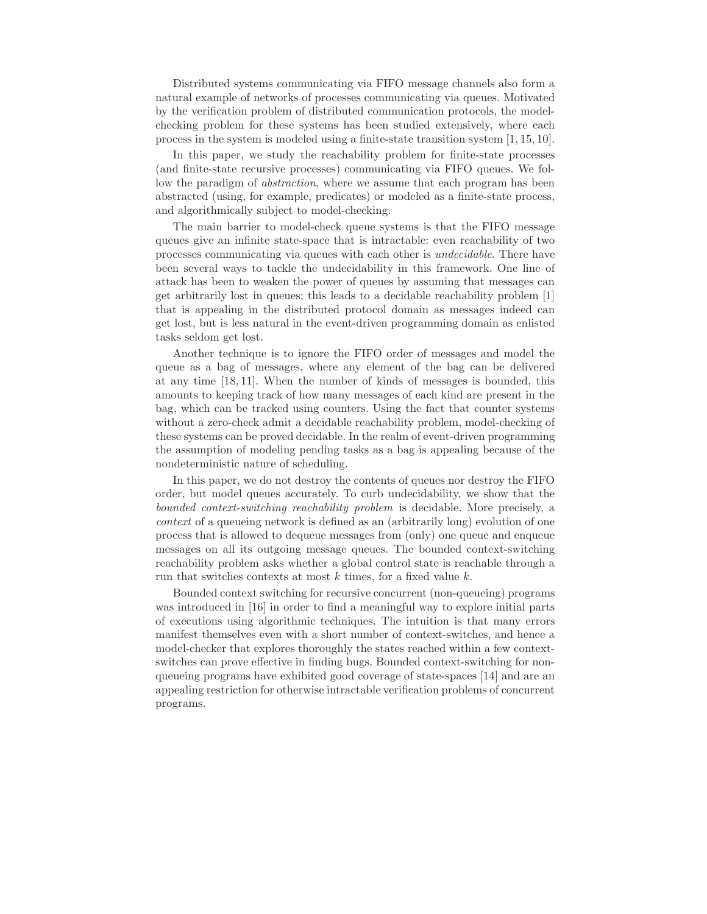Distributed systems communicating via FIFO message channels also form a natural example of networks of processes communicating via queues. Motivated by the verification problem of distributed communication protocols, the modelchecking problem for these systems has been studied extensively, where each process in the system is modeled using a finite-state transition system [1, 15, 10].

In this paper, we study the reachability problem for finite-state processes (and finite-state recursive processes) communicating via FIFO queues. We follow the paradigm of *abstraction*, where we assume that each program has been abstracted (using, for example, predicates) or modeled as a finite-state process, and algorithmically subject to model-checking.

The main barrier to model-check queue systems is that the FIFO message queues give an infinite state-space that is intractable: even reachability of two processes communicating via queues with each other is undecidable. There have been several ways to tackle the undecidability in this framework. One line of attack has been to weaken the power of queues by assuming that messages can get arbitrarily lost in queues; this leads to a decidable reachability problem [1] that is appealing in the distributed protocol domain as messages indeed can get lost, but is less natural in the event-driven programming domain as enlisted tasks seldom get lost.

Another technique is to ignore the FIFO order of messages and model the queue as a bag of messages, where any element of the bag can be delivered at any time [18, 11]. When the number of kinds of messages is bounded, this amounts to keeping track of how many messages of each kind are present in the bag, which can be tracked using counters. Using the fact that counter systems without a zero-check admit a decidable reachability problem, model-checking of these systems can be proved decidable. In the realm of event-driven programming the assumption of modeling pending tasks as a bag is appealing because of the nondeterministic nature of scheduling.

In this paper, we do not destroy the contents of queues nor destroy the FIFO order, but model queues accurately. To curb undecidability, we show that the bounded context-switching reachability problem is decidable. More precisely, a context of a queueing network is defined as an (arbitrarily long) evolution of one process that is allowed to dequeue messages from (only) one queue and enqueue messages on all its outgoing message queues. The bounded context-switching reachability problem asks whether a global control state is reachable through a run that switches contexts at most  $k$  times, for a fixed value  $k$ .

Bounded context switching for recursive concurrent (non-queueing) programs was introduced in [16] in order to find a meaningful way to explore initial parts of executions using algorithmic techniques. The intuition is that many errors manifest themselves even with a short number of context-switches, and hence a model-checker that explores thoroughly the states reached within a few contextswitches can prove effective in finding bugs. Bounded context-switching for nonqueueing programs have exhibited good coverage of state-spaces [14] and are an appealing restriction for otherwise intractable verification problems of concurrent programs.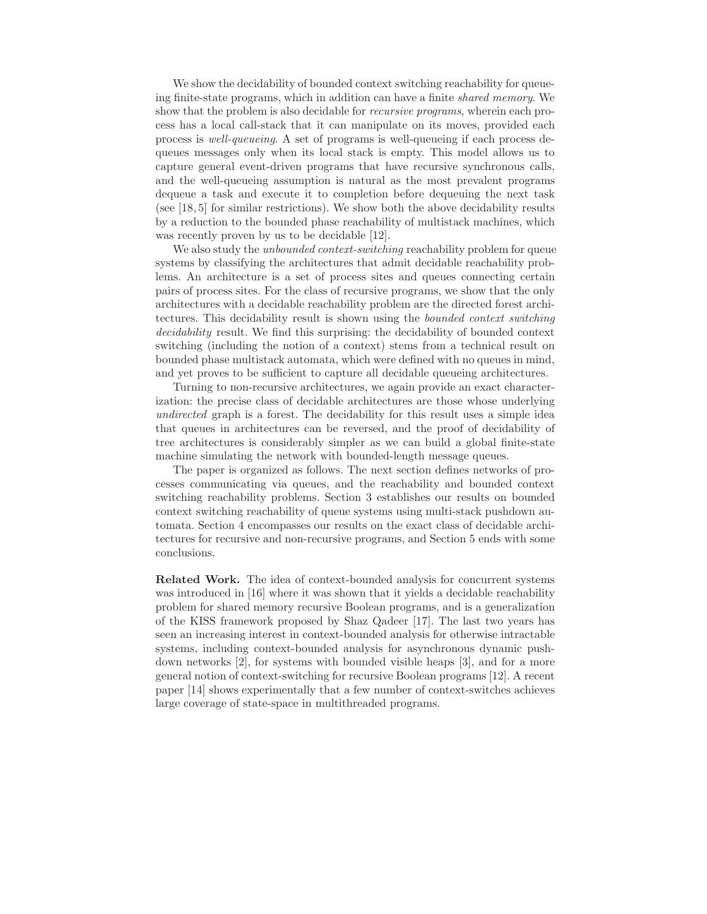We show the decidability of bounded context switching reachability for queueing finite-state programs, which in addition can have a finite shared memory. We show that the problem is also decidable for *recursive programs*, wherein each process has a local call-stack that it can manipulate on its moves, provided each process is well-queueing. A set of programs is well-queueing if each process dequeues messages only when its local stack is empty. This model allows us to capture general event-driven programs that have recursive synchronous calls, and the well-queueing assumption is natural as the most prevalent programs dequeue a task and execute it to completion before dequeuing the next task (see [18, 5] for similar restrictions). We show both the above decidability results by a reduction to the bounded phase reachability of multistack machines, which was recently proven by us to be decidable [12].

We also study the *unbounded context-switching* reachability problem for queue systems by classifying the architectures that admit decidable reachability problems. An architecture is a set of process sites and queues connecting certain pairs of process sites. For the class of recursive programs, we show that the only architectures with a decidable reachability problem are the directed forest architectures. This decidability result is shown using the bounded context switching decidability result. We find this surprising: the decidability of bounded context switching (including the notion of a context) stems from a technical result on bounded phase multistack automata, which were defined with no queues in mind, and yet proves to be sufficient to capture all decidable queueing architectures.

Turning to non-recursive architectures, we again provide an exact characterization: the precise class of decidable architectures are those whose underlying undirected graph is a forest. The decidability for this result uses a simple idea that queues in architectures can be reversed, and the proof of decidability of tree architectures is considerably simpler as we can build a global finite-state machine simulating the network with bounded-length message queues.

The paper is organized as follows. The next section defines networks of processes communicating via queues, and the reachability and bounded context switching reachability problems. Section 3 establishes our results on bounded context switching reachability of queue systems using multi-stack pushdown automata. Section 4 encompasses our results on the exact class of decidable architectures for recursive and non-recursive programs, and Section 5 ends with some conclusions.

Related Work. The idea of context-bounded analysis for concurrent systems was introduced in [16] where it was shown that it yields a decidable reachability problem for shared memory recursive Boolean programs, and is a generalization of the KISS framework proposed by Shaz Qadeer [17]. The last two years has seen an increasing interest in context-bounded analysis for otherwise intractable systems, including context-bounded analysis for asynchronous dynamic pushdown networks [2], for systems with bounded visible heaps [3], and for a more general notion of context-switching for recursive Boolean programs [12]. A recent paper [14] shows experimentally that a few number of context-switches achieves large coverage of state-space in multithreaded programs.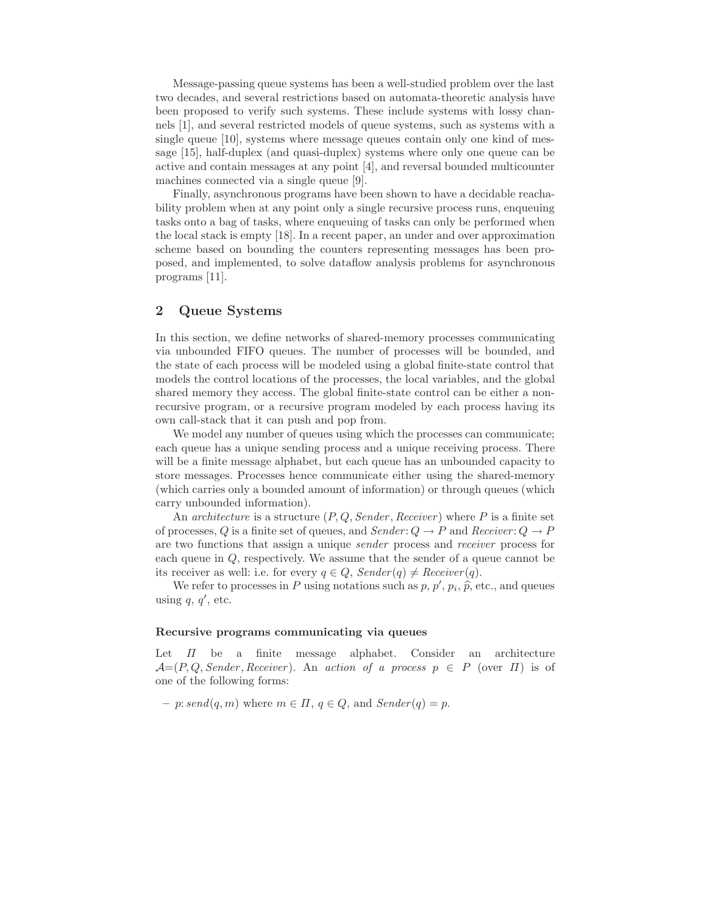Message-passing queue systems has been a well-studied problem over the last two decades, and several restrictions based on automata-theoretic analysis have been proposed to verify such systems. These include systems with lossy channels [1], and several restricted models of queue systems, such as systems with a single queue [10], systems where message queues contain only one kind of message [15], half-duplex (and quasi-duplex) systems where only one queue can be active and contain messages at any point [4], and reversal bounded multicounter machines connected via a single queue [9].

Finally, asynchronous programs have been shown to have a decidable reachability problem when at any point only a single recursive process runs, enqueuing tasks onto a bag of tasks, where enqueuing of tasks can only be performed when the local stack is empty [18]. In a recent paper, an under and over approximation scheme based on bounding the counters representing messages has been proposed, and implemented, to solve dataflow analysis problems for asynchronous programs [11].

# 2 Queue Systems

In this section, we define networks of shared-memory processes communicating via unbounded FIFO queues. The number of processes will be bounded, and the state of each process will be modeled using a global finite-state control that models the control locations of the processes, the local variables, and the global shared memory they access. The global finite-state control can be either a nonrecursive program, or a recursive program modeled by each process having its own call-stack that it can push and pop from.

We model any number of queues using which the processes can communicate; each queue has a unique sending process and a unique receiving process. There will be a finite message alphabet, but each queue has an unbounded capacity to store messages. Processes hence communicate either using the shared-memory (which carries only a bounded amount of information) or through queues (which carry unbounded information).

An *architecture* is a structure  $(P, Q, \text{Sender}, \text{Receiver})$  where P is a finite set of processes, Q is a finite set of queues, and  $Sender: Q \rightarrow P$  and  $Receiver: Q \rightarrow P$ are two functions that assign a unique sender process and receiver process for each queue in Q, respectively. We assume that the sender of a queue cannot be its receiver as well: i.e. for every  $q \in Q$ ,  $Sender(q) \neq Receiver(q)$ .

We refer to processes in P using notations such as p,  $p'$ ,  $p_i$ ,  $\hat{p}$ , etc., and queues using  $q, q',$  etc.

#### Recursive programs communicating via queues

Let  $\Pi$  be a finite message alphabet. Consider an architecture  $A=(P,Q,Sender, Receiver)$ . An action of a process  $p \in P$  (over  $\Pi$ ) is of one of the following forms:

– p: send $(q, m)$  where  $m \in \Pi$ ,  $q \in Q$ , and  $Sender(q) = p$ .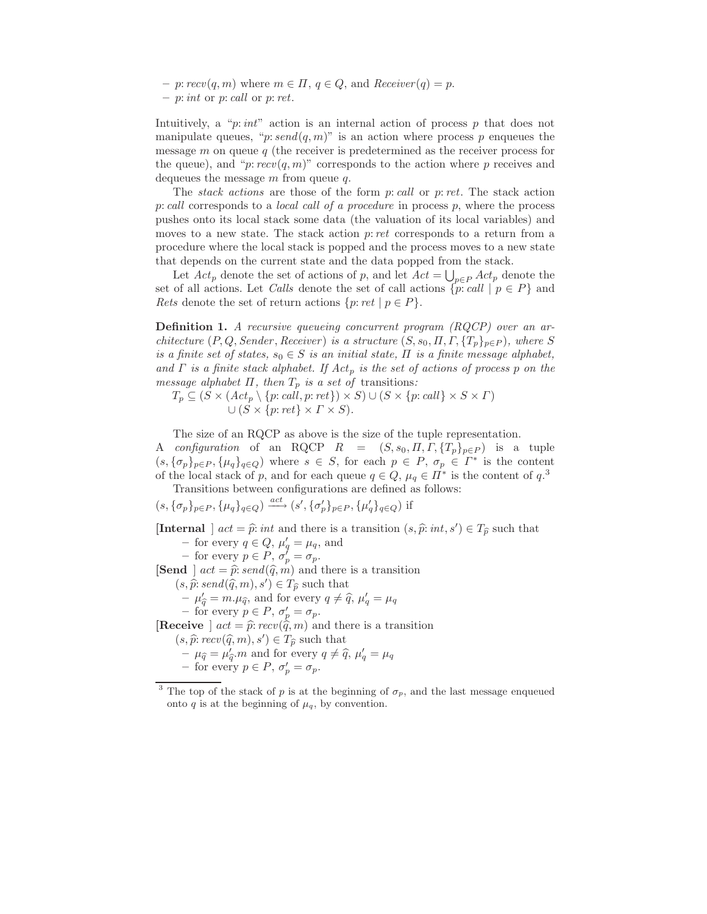$-p:recv(q, m)$  where  $m \in \Pi$ ,  $q \in Q$ , and  $Receiver(q) = p$ .

 $- p: int \text{ or } p: call \text{ or } p: ret.$ 

Intuitively, a " $p: int$ " action is an internal action of process p that does not manipulate queues, "p:  $send(q, m)$ " is an action where process p enqueues the message  $m$  on queue  $q$  (the receiver is predetermined as the receiver process for the queue), and "p:  $recv(q, m)$ " corresponds to the action where p receives and dequeues the message  $m$  from queue  $q$ .

The *stack actions* are those of the form  $p:$  call or  $p:$  ret. The stack action p: call corresponds to a *local call of a procedure* in process p, where the process pushes onto its local stack some data (the valuation of its local variables) and moves to a new state. The stack action p: ret corresponds to a return from a procedure where the local stack is popped and the process moves to a new state that depends on the current state and the data popped from the stack.

Let  $Act_p$  denote the set of actions of p, and let  $Act = \bigcup_{p \in P} Act_p$  denote the set of all actions. Let Calls denote the set of call actions  $\{p: \text{call} \mid p \in P\}$  and Rets denote the set of return actions  $\{p: ret \mid p \in P\}.$ 

Definition 1. A recursive queueing concurrent program (RQCP) over an architecture  $(P, Q, Sender, Receiver)$  is a structure  $(S, s_0, \Pi, \Gamma, \{T_p\}_{p \in P})$ , where S is a finite set of states,  $s_0 \in S$  is an initial state,  $\Pi$  is a finite message alphabet, and  $\Gamma$  is a finite stack alphabet. If  $Act_p$  is the set of actions of process p on the message alphabet  $\Pi$ , then  $T_p$  is a set of transitions:

$$
T_p \subseteq (S \times (Act_p \setminus \{p: call, p: ret\}) \times S) \cup (S \times \{p: call\} \times S \times \Gamma)
$$
  
 
$$
\cup (S \times \{p: ret\} \times \Gamma \times S).
$$

The size of an RQCP as above is the size of the tuple representation.

A configuration of an RQCP  $R = (S, s_0, \Pi, \Gamma, \{T_p\}_{p \in P})$  is a tuple  $(s, {\{\sigma_p\}}_{p \in P}, {\{\mu_q\}}_{q \in Q})$  where  $s \in S$ , for each  $p \in P, \sigma_p \in \Gamma^*$  is the content of the local stack of p, and for each queue  $q \in Q$ ,  $\mu_q \in \overline{\Pi}^*$  is the content of  $q$ <sup>3</sup> Transitions between configurations are defined as follows:

$$
(s, \{\sigma_p\}_{p\in P}, \{\mu_q\}_{q\in Q}) \xrightarrow{act} (s', \{\sigma'_p\}_{p\in P}, \{\mu'_q\}_{q\in Q})
$$
 if

[Internal ]  $act = \hat{p}$ : *int* and there is a transition  $(s, \hat{p}: int, s') \in T_{\hat{p}}$  such that

- for every  $q \in Q$ ,  $\mu'_q = \mu_q$ , and

– for every  $p \in P$ ,  $\sigma_p^{\dagger} = \sigma_p$ .

[Send ]  $act = \hat{p}$ : send $(\hat{q}, \hat{m})$  and there is a transition

 $(s, \hat{p}: send(\hat{q}, m), s') \in T_{\hat{p}}$  such that

 $-\mu'_{\widehat{q}} = m.\mu_{\widehat{q}},$  and for every  $q \neq \widehat{q}, \mu'_{q} = \mu_{q}$ 

– for every  $p \in P$ ,  $\sigma'_p = \sigma_p$ .

[Receive ]  $act = \hat{p}$ : recv( $\hat{q}$ , m) and there is a transition

 $(s, \widehat{p}: rev(\widehat{q}, m), s') \in T_{\widehat{p}}$  such that

- $\mu_{\widehat{q}} = \mu'_{\widehat{q}} \, m$  and for every  $q \neq \widehat{q}$ ,  $\mu'_{q} = \mu_{q}$
- for every  $p \in P$ ,  $\sigma'_p = \sigma_p$ .

<sup>&</sup>lt;sup>3</sup> The top of the stack of p is at the beginning of  $\sigma_p$ , and the last message enqueued onto  $q$  is at the beginning of  $\mu_q$ , by convention.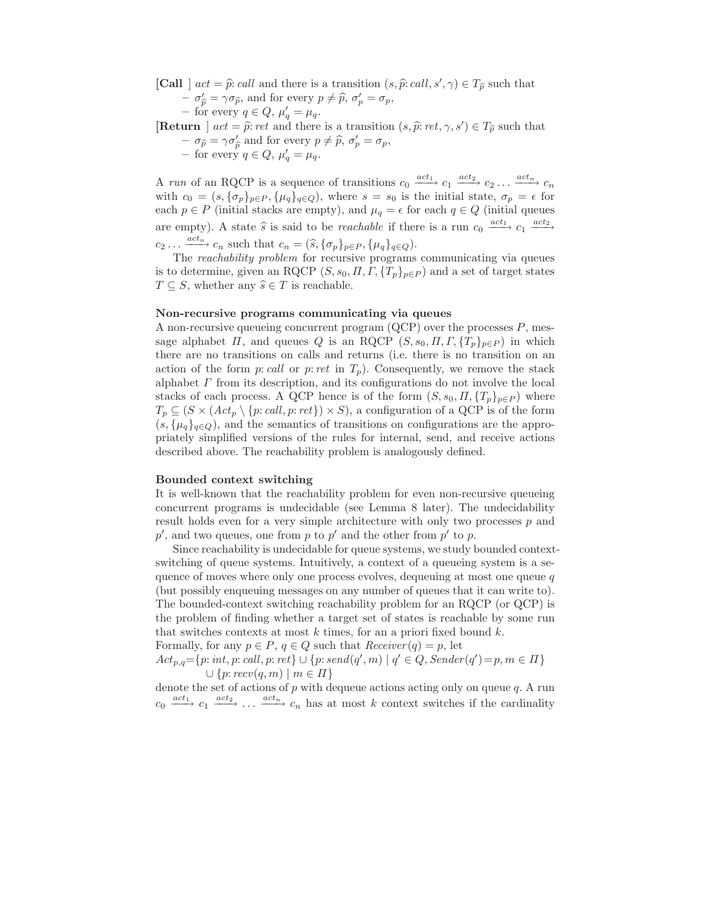$[{\bf Call} \,\mid \, act = \widehat{p}: call$  and there is a transition  $(s, \widehat{p}: call, s', \gamma) \in T_{\widehat{p}}$  such that  $\sigma'_{\widehat{p}} = \gamma \sigma_{\widehat{p}},$  and for every  $p \neq \widehat{p}, \sigma'_{p} = \sigma_{p},$ 

 $-$  for every  $q \in Q$ ,  $\mu'_{q} = \mu_{q}$ .

**[Return** ]  $act = \hat{p}$ : ret and there is a transition  $(s, \hat{p}$ : ret,  $\gamma, s') \in T_{\hat{p}}$  such that  $-\sigma_{\widehat{p}} = \gamma \sigma'_{\widehat{p}}$  and for every  $p \neq \widehat{p}$ ,  $\sigma'_{p} = \sigma_{p}$ ,

 $-$  for every  $q \in Q$ ,  $\mu'_{q} = \mu_{q}$ .

A run of an RQCP is a sequence of transitions  $c_0 \xrightarrow{act_1} c_1 \xrightarrow{act_2} c_2 \dots \xrightarrow{act_n} c_n$ with  $c_0 = (s, {\{\sigma_p\}}_{p \in P}, {\{\mu_q\}}_{q \in Q})$ , where  $s = s_0$  is the initial state,  $\sigma_p = \epsilon$  for each  $p \in P$  (initial stacks are empty), and  $\mu_q = \epsilon$  for each  $q \in Q$  (initial queues are empty). A state  $\hat{s}$  is said to be *reachable* if there is a run  $c_0 \xrightarrow{act_1} c_1 \xrightarrow{act_2}$ 

 $c_2 \dots \xrightarrow{act_n} c_n$  such that  $c_n = (\hat{s}, {\{\sigma_p\}}_{p \in P}, {\{\mu_q\}}_{q \in Q}).$ 

The *reachability problem* for recursive programs communicating via queues is to determine, given an RQCP  $(S, s_0, \Pi, \Gamma, \{T_p\}_{p \in P})$  and a set of target states  $T \subseteq S$ , whether any  $\hat{s} \in T$  is reachable.

#### Non-recursive programs communicating via queues

A non-recursive queueing concurrent program  $(QCP)$  over the processes  $P$ , message alphabet  $\Pi$ , and queues  $Q$  is an RQCP  $(S, s_0, \Pi, \Gamma, \{T_p\}_{p \in P})$  in which there are no transitions on calls and returns (i.e. there is no transition on an action of the form p: call or p: ret in  $T_p$ ). Consequently, we remove the stack alphabet  $\Gamma$  from its description, and its configurations do not involve the local stacks of each process. A QCP hence is of the form  $(S, s_0, \Pi, \{T_p\}_{p \in P})$  where  $T_p \subseteq (S \times (Act_p \setminus \{p: call, p: ret\}) \times S)$ , a configuration of a QCP is of the form  $(s, {\mu_q}_{q \in Q})$ , and the semantics of transitions on configurations are the appropriately simplified versions of the rules for internal, send, and receive actions described above. The reachability problem is analogously defined.

#### Bounded context switching

It is well-known that the reachability problem for even non-recursive queueing concurrent programs is undecidable (see Lemma 8 later). The undecidability result holds even for a very simple architecture with only two processes  $p$  and  $p'$ , and two queues, one from p to p' and the other from p' to p.

Since reachability is undecidable for queue systems, we study bounded contextswitching of queue systems. Intuitively, a context of a queueing system is a sequence of moves where only one process evolves, dequeuing at most one queue  $q$ (but possibly enqueuing messages on any number of queues that it can write to). The bounded-context switching reachability problem for an RQCP (or QCP) is the problem of finding whether a target set of states is reachable by some run that switches contexts at most  $k$  times, for an a priori fixed bound  $k$ .

Formally, for any  $p \in P$ ,  $q \in Q$  such that  $Receiver(q) = p$ , let

 $Act_{p,q} = \{p: int, p: call, p: ret\} \cup \{p: send(q',m) \mid q' \in Q, Sender(q') = p, m \in \Pi\}$  $\cup \{p:\text{recv}(q, m) \mid m \in \Pi\}$ 

denote the set of actions of  $p$  with dequeue actions acting only on queue  $q$ . A run  $c_0 \xrightarrow{act_1} c_1 \xrightarrow{act_2} \ldots \xrightarrow{act_n} c_n$  has at most k context switches if the cardinality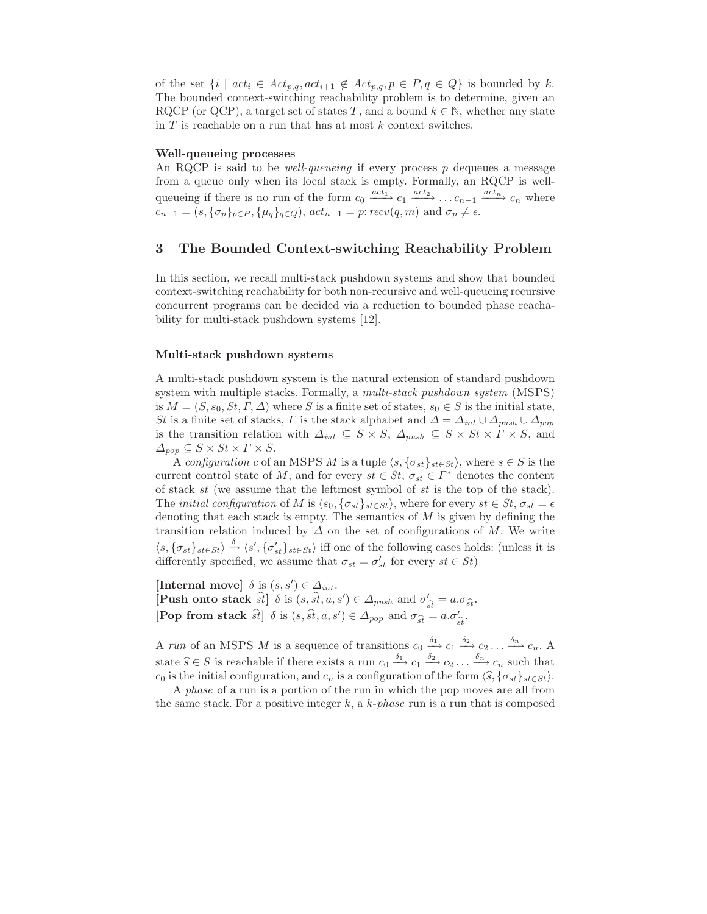of the set  $\{i \mid act_i \in Act_{p,q}, act_{i+1} \notin Act_{p,q}, p \in P, q \in Q\}$  is bounded by k. The bounded context-switching reachability problem is to determine, given an RQCP (or QCP), a target set of states T, and a bound  $k \in \mathbb{N}$ , whether any state in  $T$  is reachable on a run that has at most  $k$  context switches.

### Well-queueing processes

An RQCP is said to be *well-queueing* if every process  $p$  dequeues a message from a queue only when its local stack is empty. Formally, an RQCP is wellqueueing if there is no run of the form  $c_0 \xrightarrow{act_1} c_1 \xrightarrow{act_2} \ldots c_{n-1} \xrightarrow{act_n} c_n$  where  $c_{n-1} = (s, {\{\sigma_p\}}_{p \in P}, {\{\mu_q\}}_{q \in Q}), act_{n-1} = p: recv(q, m) \text{ and } \sigma_p \neq \epsilon.$ 

# 3 The Bounded Context-switching Reachability Problem

In this section, we recall multi-stack pushdown systems and show that bounded context-switching reachability for both non-recursive and well-queueing recursive concurrent programs can be decided via a reduction to bounded phase reachability for multi-stack pushdown systems [12].

### Multi-stack pushdown systems

A multi-stack pushdown system is the natural extension of standard pushdown system with multiple stacks. Formally, a multi-stack pushdown system (MSPS) is  $M = (S, s_0, St, \Gamma, \Delta)$  where S is a finite set of states,  $s_0 \in S$  is the initial state, St is a finite set of stacks,  $\Gamma$  is the stack alphabet and  $\Delta = \Delta_{int} \cup \Delta_{push} \cup \Delta_{pop}$ is the transition relation with  $\Delta_{int} \subseteq S \times S$ ,  $\Delta_{push} \subseteq S \times St \times T \times S$ , and  $\Delta_{pop} \subseteq S \times St \times \Gamma \times S$ .

A configuration c of an MSPS M is a tuple  $\langle s, {\{\sigma_{st}\}}_{st\in St}\rangle$ , where  $s \in S$  is the current control state of M, and for every  $st \in St$ ,  $\sigma_{st} \in \Gamma^*$  denotes the content of stack st (we assume that the leftmost symbol of st is the top of the stack). The *initial configuration* of M is  $\langle s_0, {\{\sigma_{st}\}}_{st\in St} \rangle$ , where for every  $st \in St$ ,  $\sigma_{st} = \epsilon$ denoting that each stack is empty. The semantics of  $M$  is given by defining the transition relation induced by  $\Delta$  on the set of configurations of M. We write  $\langle s, \{\sigma_{st}\}_{st\in St}\rangle \stackrel{\delta}{\rightarrow} \langle s', \{\sigma'_{st}\}_{st\in St}\rangle$  iff one of the following cases holds: (unless it is differently specified, we assume that  $\sigma_{st} = \sigma'_{st}$  for every  $st \in St$ 

[Internal move]  $\delta$  is  $(s, s') \in \Delta_{int}$ . **[Push onto stack**  $\widehat{st}$ ]  $\delta$  is  $(s, \widehat{st}, a, s') \in \Delta_{push}$  and  $\sigma'_{\widehat{st}} = a.\sigma_{\widehat{st}}$ . **[Pop from stack**  $\widehat{st}$ ]  $\delta$  is  $(s, \widehat{st}, a, s') \in \Delta_{pop}$  and  $\sigma_{\widehat{st}} = a.\sigma'_{\widehat{st}}$ .

A run of an MSPS M is a sequence of transitions  $c_0 \xrightarrow{\delta_1} c_1 \xrightarrow{\delta_2} c_2 \dots \xrightarrow{\delta_n} c_n$ . state  $\hat{s} \in S$  is reachable if there exists a run  $c_0 \xrightarrow{\delta_1} c_1 \xrightarrow{\delta_2} c_2 \dots \xrightarrow{\delta_n} c_n$  such that  $c_0$  is the initial configuration, and  $c_n$  is a configuration of the form  $\langle \hat{s}, {\{\sigma_{st}\}}_{st \in St} \rangle$ .

A phase of a run is a portion of the run in which the pop moves are all from the same stack. For a positive integer k, a k-phase run is a run that is composed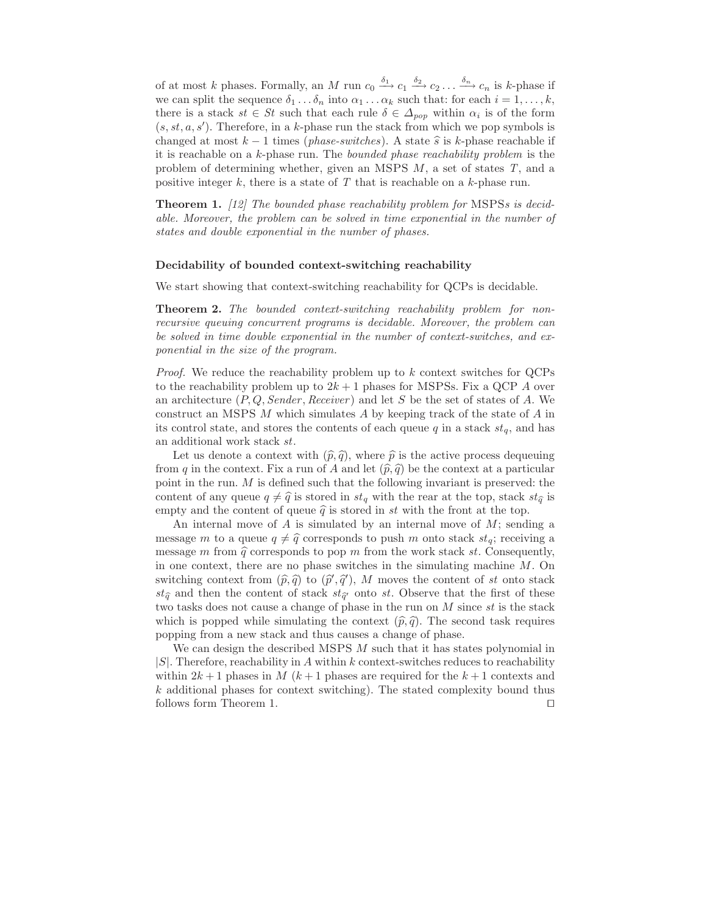of at most k phases. Formally, an M run  $c_0 \xrightarrow{\delta_1} c_1 \xrightarrow{\delta_2} c_2 \dots \xrightarrow{\delta_n} c_n$  is k-phase if we can split the sequence  $\delta_1 \ldots \delta_n$  into  $\alpha_1 \ldots \alpha_k$  such that: for each  $i = 1, \ldots, k$ , there is a stack  $st \in St$  such that each rule  $\delta \in \Delta_{pop}$  within  $\alpha_i$  is of the form  $(s, st, a, s')$ . Therefore, in a k-phase run the stack from which we pop symbols is changed at most  $k - 1$  times (phase-switches). A state  $\hat{s}$  is k-phase reachable if it is reachable on a k-phase run. The bounded phase reachability problem is the problem of determining whether, given an MSPS M, a set of states T, and a positive integer k, there is a state of  $T$  that is reachable on a k-phase run.

**Theorem 1.** [12] The bounded phase reachability problem for MSPSs is decidable. Moreover, the problem can be solved in time exponential in the number of states and double exponential in the number of phases.

### Decidability of bounded context-switching reachability

We start showing that context-switching reachability for QCPs is decidable.

**Theorem 2.** The bounded context-switching reachability problem for nonrecursive queuing concurrent programs is decidable. Moreover, the problem can be solved in time double exponential in the number of context-switches, and exponential in the size of the program.

*Proof.* We reduce the reachability problem up to  $k$  context switches for QCPs to the reachability problem up to  $2k+1$  phases for MSPSs. Fix a QCP A over an architecture  $(P, Q, \text{Sender}, \text{Receiver})$  and let S be the set of states of A. We construct an MSPS  $M$  which simulates  $A$  by keeping track of the state of  $A$  in its control state, and stores the contents of each queue  $q$  in a stack  $st_q$ , and has an additional work stack st.

Let us denote a context with  $(\hat{p}, \hat{q})$ , where  $\hat{p}$  is the active process dequeuing from q in the context. Fix a run of A and let  $(\hat{p}, \hat{q})$  be the context at a particular point in the run. M is defined such that the following invariant is preserved: the content of any queue  $q \neq \hat{q}$  is stored in  $st_q$  with the rear at the top, stack  $st_{\hat{q}}$  is empty and the content of queue  $\hat{q}$  is stored in st with the front at the top.

An internal move of  $A$  is simulated by an internal move of  $M$ ; sending a message m to a queue  $q \neq \hat{q}$  corresponds to push m onto stack  $st_q$ ; receiving a message m from  $\hat{q}$  corresponds to pop m from the work stack st. Consequently, in one context, there are no phase switches in the simulating machine  $M$ . On switching context from  $(\widehat{p}, \widehat{q})$  to  $(\widehat{p}', \widehat{q}')$ , M moves the content of st onto stack  $st_{\hat{q}}$  and then the content of stack  $st_{\hat{q}}$  onto st. Observe that the first of these two tasks does not cause a change of phase in the run on  $M$  since  $st$  is the stack which is popped while simulating the context  $(\widehat{p}, \widehat{q})$ . The second task requires popping from a new stack and thus causes a change of phase.

We can design the described MSPS  $M$  such that it has states polynomial in  $|S|$ . Therefore, reachability in A within k context-switches reduces to reachability within  $2k+1$  phases in M  $(k+1)$  phases are required for the  $k+1$  contexts and  $k$  additional phases for context switching). The stated complexity bound thus follows form Theorem 1. ⊓⊔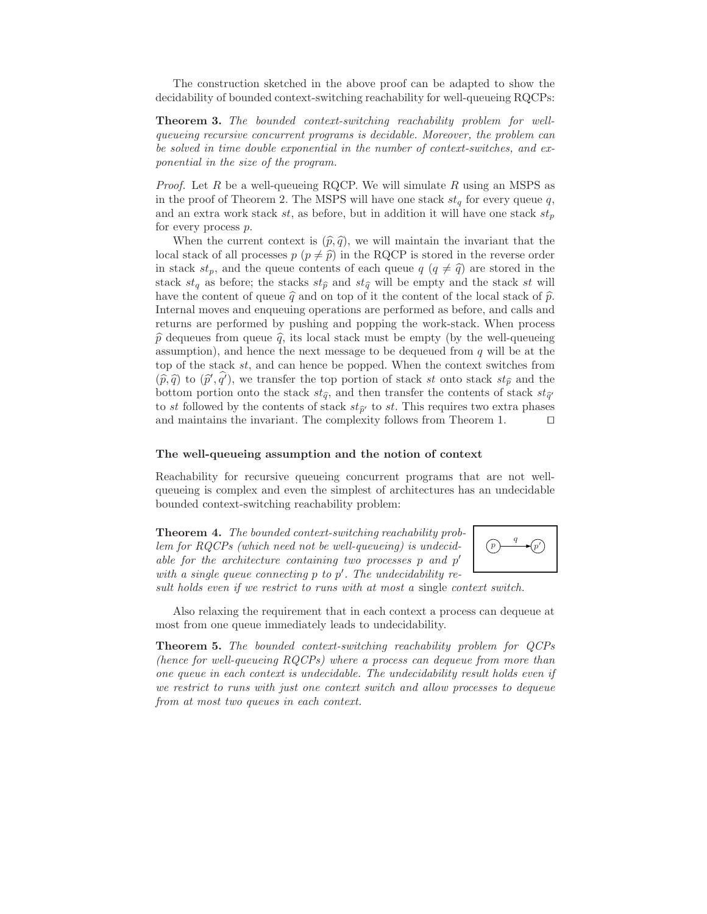The construction sketched in the above proof can be adapted to show the decidability of bounded context-switching reachability for well-queueing RQCPs:

Theorem 3. The bounded context-switching reachability problem for wellqueueing recursive concurrent programs is decidable. Moreover, the problem can be solved in time double exponential in the number of context-switches, and exponential in the size of the program.

*Proof.* Let R be a well-queueing RQCP. We will simulate R using an MSPS as in the proof of Theorem 2. The MSPS will have one stack  $st_q$  for every queue  $q$ , and an extra work stack st, as before, but in addition it will have one stack  $st_p$ for every process p.

When the current context is  $(\widehat{p}, \widehat{q})$ , we will maintain the invariant that the local stack of all processes  $p \ (p \neq \hat{p})$  in the RQCP is stored in the reverse order in stack  $st_p$ , and the queue contents of each queue  $q$   $(q \neq \hat{q})$  are stored in the stack  $st_q$  as before; the stacks  $st_{\hat{p}}$  and  $st_{\hat{q}}$  will be empty and the stack st will have the content of queue  $\hat{q}$  and on top of it the content of the local stack of  $\hat{p}$ . Internal moves and enqueuing operations are performed as before, and calls and returns are performed by pushing and popping the work-stack. When process  $\hat{p}$  dequeues from queue  $\hat{q}$ , its local stack must be empty (by the well-queueing assumption), and hence the next message to be dequeued from  $q$  will be at the top of the stack st, and can hence be popped. When the context switches from  $(\widehat{p}, \widehat{q})$  to  $(\widehat{p}', \widehat{q}')$ , we transfer the top portion of stack st onto stack  $s t_{\widehat{p}}$  and the bottom portion onto the stack  $st_{\hat{q}}$ , and then transfer the contents of stack  $st_{\hat{q}}$ to st followed by the contents of stack  $st_{\hat{p}'}$  to st. This requires two extra phases and maintains the invariant. The complexity follows from Theorem 1. ⊓⊔

#### The well-queueing assumption and the notion of context

Reachability for recursive queueing concurrent programs that are not wellqueueing is complex and even the simplest of architectures has an undecidable bounded context-switching reachability problem:

Theorem 4. The bounded context-switching reachability problem for RQCPs (which need not be well-queueing) is undecidable for the architecture containing two processes p and p' with a single queue connecting  $p$  to  $p'$ . The undecidability re-



sult holds even if we restrict to runs with at most a single context switch.

Also relaxing the requirement that in each context a process can dequeue at most from one queue immediately leads to undecidability.

Theorem 5. The bounded context-switching reachability problem for QCPs (hence for well-queueing RQCPs) where a process can dequeue from more than one queue in each context is undecidable. The undecidability result holds even if we restrict to runs with just one context switch and allow processes to dequeue from at most two queues in each context.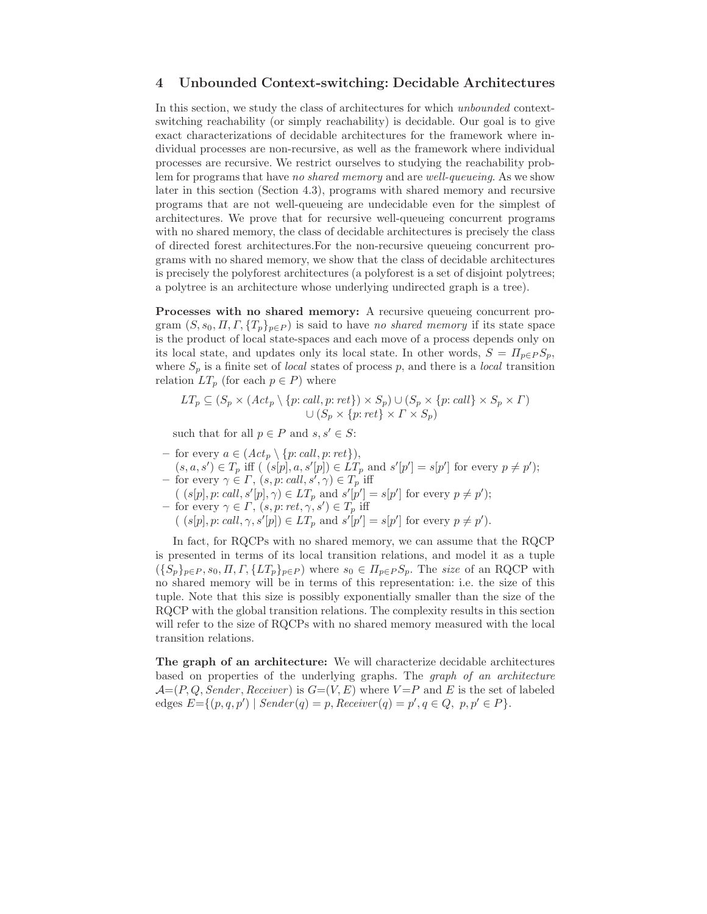## 4 Unbounded Context-switching: Decidable Architectures

In this section, we study the class of architectures for which unbounded contextswitching reachability (or simply reachability) is decidable. Our goal is to give exact characterizations of decidable architectures for the framework where individual processes are non-recursive, as well as the framework where individual processes are recursive. We restrict ourselves to studying the reachability problem for programs that have no shared memory and are well-queueing. As we show later in this section (Section 4.3), programs with shared memory and recursive programs that are not well-queueing are undecidable even for the simplest of architectures. We prove that for recursive well-queueing concurrent programs with no shared memory, the class of decidable architectures is precisely the class of directed forest architectures.For the non-recursive queueing concurrent programs with no shared memory, we show that the class of decidable architectures is precisely the polyforest architectures (a polyforest is a set of disjoint polytrees; a polytree is an architecture whose underlying undirected graph is a tree).

Processes with no shared memory: A recursive queueing concurrent program  $(S, s_0, \Pi, \Gamma, \{T_p\}_{p \in P})$  is said to have no shared memory if its state space is the product of local state-spaces and each move of a process depends only on its local state, and updates only its local state. In other words,  $S = \prod_{p \in P} S_p$ , where  $S_p$  is a finite set of *local* states of process p, and there is a *local* transition relation  $LT_p$  (for each  $p \in P$ ) where

$$
LT_p \subseteq (S_p \times (Act_p \setminus \{p: call, p: ret\}) \times S_p) \cup (S_p \times \{p: call\} \times S_p \times \Gamma)
$$
  

$$
\cup (S_p \times \{p: ret\} \times \Gamma \times S_p)
$$

such that for all  $p \in P$  and  $s, s' \in S$ :

- for every  $a \in (Act_p \setminus \{p: call, p: ret\}),$  $(s, a, s') \in T_p$  iff  $((s[p], a, s'[p]) \in LT_p$  and  $s'[p'] = s[p']$  for every  $p \neq p'$ );
- $-$  for every  $\gamma \in \Gamma$ ,  $(s, p: \text{call}, s', \gamma) \in T_p$  iff
- $(g[p], p: call, s'[p], \gamma) \in LT_p \text{ and } s'[p'] = s[p'] \text{ for every } p \neq p';$  $-$  for every  $\gamma \in \Gamma$ ,  $(s, p: ret, \gamma, s') \in T_p$  iff
- $((s[p], p: call, \gamma, s'[p]) \in LT_p \text{ and } s'[p'] = s[p'] \text{ for every } p \neq p').$

In fact, for RQCPs with no shared memory, we can assume that the RQCP is presented in terms of its local transition relations, and model it as a tuple  $({S_p}_{p\in P}, s_0, \Pi, \Gamma, {L_T}_{p\in P})$  where  $s_0 \in \Pi_{p\in P} S_p$ . The size of an RQCP with no shared memory will be in terms of this representation: i.e. the size of this tuple. Note that this size is possibly exponentially smaller than the size of the RQCP with the global transition relations. The complexity results in this section will refer to the size of RQCPs with no shared memory measured with the local transition relations.

The graph of an architecture: We will characterize decidable architectures based on properties of the underlying graphs. The graph of an architecture  $A=(P,Q,Sender, Receiver)$  is  $G=(V, E)$  where  $V=P$  and E is the set of labeled edges  $E = \{(p, q, p') \mid \text{Sender}(q) = p, \text{Accept}(q) = p', q \in Q, p, p' \in P\}.$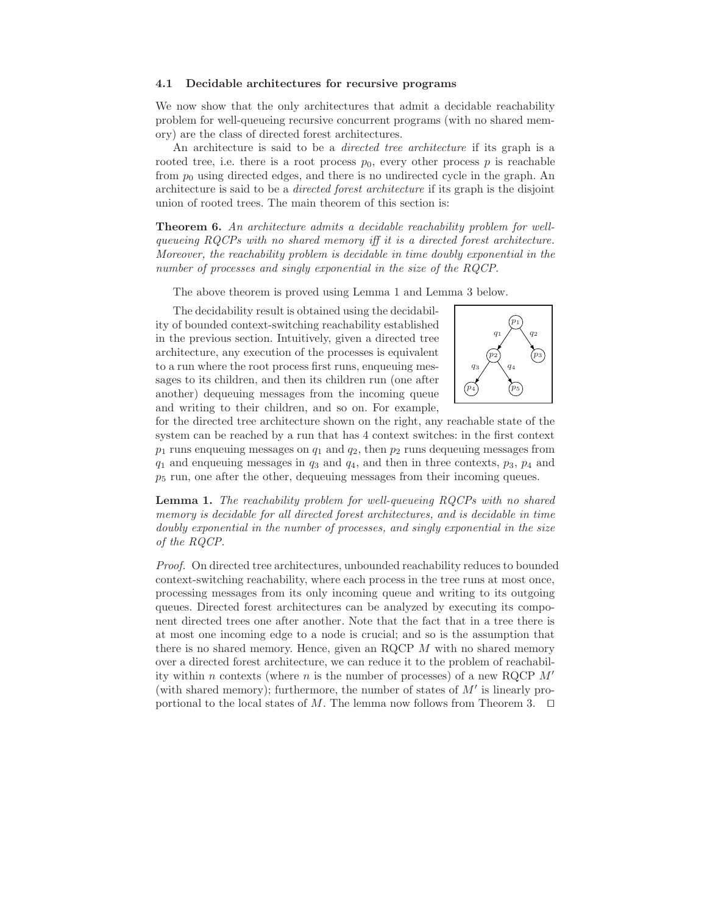#### 4.1 Decidable architectures for recursive programs

We now show that the only architectures that admit a decidable reachability problem for well-queueing recursive concurrent programs (with no shared memory) are the class of directed forest architectures.

An architecture is said to be a directed tree architecture if its graph is a rooted tree, i.e. there is a root process  $p_0$ , every other process p is reachable from  $p_0$  using directed edges, and there is no undirected cycle in the graph. An architecture is said to be a directed forest architecture if its graph is the disjoint union of rooted trees. The main theorem of this section is:

Theorem 6. An architecture admits a decidable reachability problem for wellqueueing RQCPs with no shared memory iff it is a directed forest architecture. Moreover, the reachability problem is decidable in time doubly exponential in the number of processes and singly exponential in the size of the RQCP.

The above theorem is proved using Lemma 1 and Lemma 3 below.

The decidability result is obtained using the decidability of bounded context-switching reachability established in the previous section. Intuitively, given a directed tree architecture, any execution of the processes is equivalent to a run where the root process first runs, enqueuing messages to its children, and then its children run (one after another) dequeuing messages from the incoming queue and writing to their children, and so on. For example,



for the directed tree architecture shown on the right, any reachable state of the system can be reached by a run that has 4 context switches: in the first context  $p_1$  runs enqueuing messages on  $q_1$  and  $q_2$ , then  $p_2$  runs dequeuing messages from  $q_1$  and enqueuing messages in  $q_3$  and  $q_4$ , and then in three contexts,  $p_3$ ,  $p_4$  and  $p<sub>5</sub>$  run, one after the other, dequeuing messages from their incoming queues.

Lemma 1. The reachability problem for well-queueing RQCPs with no shared memory is decidable for all directed forest architectures, and is decidable in time doubly exponential in the number of processes, and singly exponential in the size of the RQCP.

Proof. On directed tree architectures, unbounded reachability reduces to bounded context-switching reachability, where each process in the tree runs at most once, processing messages from its only incoming queue and writing to its outgoing queues. Directed forest architectures can be analyzed by executing its component directed trees one after another. Note that the fact that in a tree there is at most one incoming edge to a node is crucial; and so is the assumption that there is no shared memory. Hence, given an RQCP M with no shared memory over a directed forest architecture, we can reduce it to the problem of reachability within n contexts (where n is the number of processes) of a new RQCP  $M'$ (with shared memory); furthermore, the number of states of  $M'$  is linearly proportional to the local states of M. The lemma now follows from Theorem 3.  $\Box$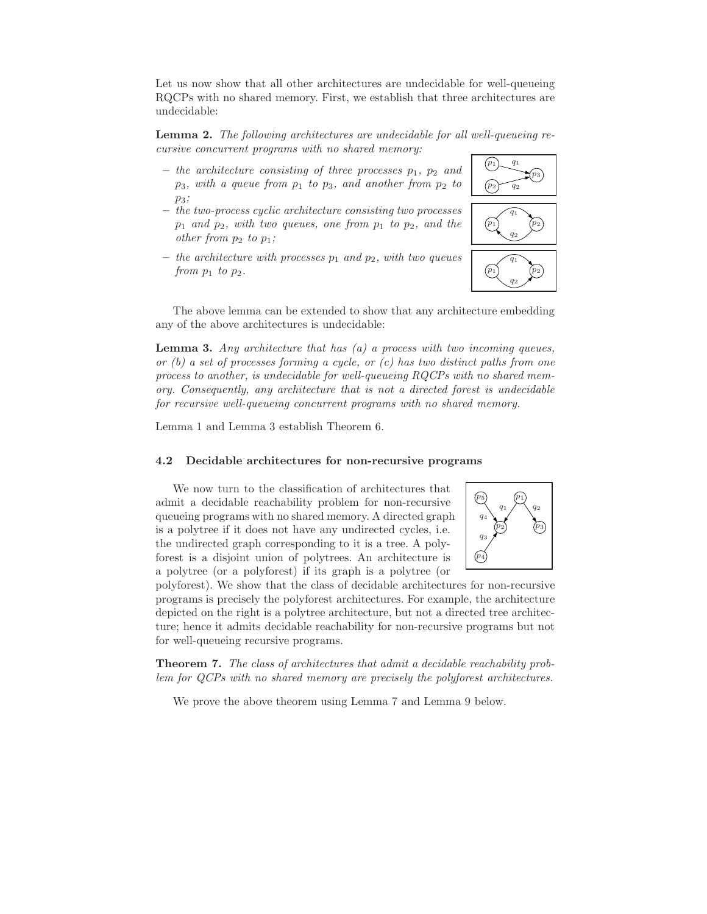Let us now show that all other architectures are undecidable for well-queueing RQCPs with no shared memory. First, we establish that three architectures are undecidable:

Lemma 2. The following architectures are undecidable for all well-queueing recursive concurrent programs with no shared memory:

- the architecture consisting of three processes  $p_1$ ,  $p_2$  and  $p_3$ , with a queue from  $p_1$  to  $p_3$ , and another from  $p_2$  to  $p_3;$
- the two-process cyclic architecture consisting two processes  $p_1$  and  $p_2$ , with two queues, one from  $p_1$  to  $p_2$ , and the other from  $p_2$  to  $p_1$ ;
- the architecture with processes  $p_1$  and  $p_2$ , with two queues from  $p_1$  to  $p_2$ .



The above lemma can be extended to show that any architecture embedding any of the above architectures is undecidable:

**Lemma 3.** Any architecture that has  $(a)$  a process with two incoming queues, or  $(b)$  a set of processes forming a cycle, or  $(c)$  has two distinct paths from one process to another, is undecidable for well-queueing RQCPs with no shared memory. Consequently, any architecture that is not a directed forest is undecidable for recursive well-queueing concurrent programs with no shared memory.

Lemma 1 and Lemma 3 establish Theorem 6.

## 4.2 Decidable architectures for non-recursive programs

We now turn to the classification of architectures that admit a decidable reachability problem for non-recursive queueing programs with no shared memory. A directed graph is a polytree if it does not have any undirected cycles, i.e. the undirected graph corresponding to it is a tree. A polyforest is a disjoint union of polytrees. An architecture is a polytree (or a polyforest) if its graph is a polytree (or

 $\widehat{p_1}$  $(p_2)$   $(p_3)$  $\widehat{p}_5$  $\widetilde{p}_{4}$  $q_1 \nearrow q_2$  $q_3$  $q_4$ 

polyforest). We show that the class of decidable architectures for non-recursive programs is precisely the polyforest architectures. For example, the architecture depicted on the right is a polytree architecture, but not a directed tree architecture; hence it admits decidable reachability for non-recursive programs but not for well-queueing recursive programs.

Theorem 7. The class of architectures that admit a decidable reachability problem for QCPs with no shared memory are precisely the polyforest architectures.

We prove the above theorem using Lemma 7 and Lemma 9 below.

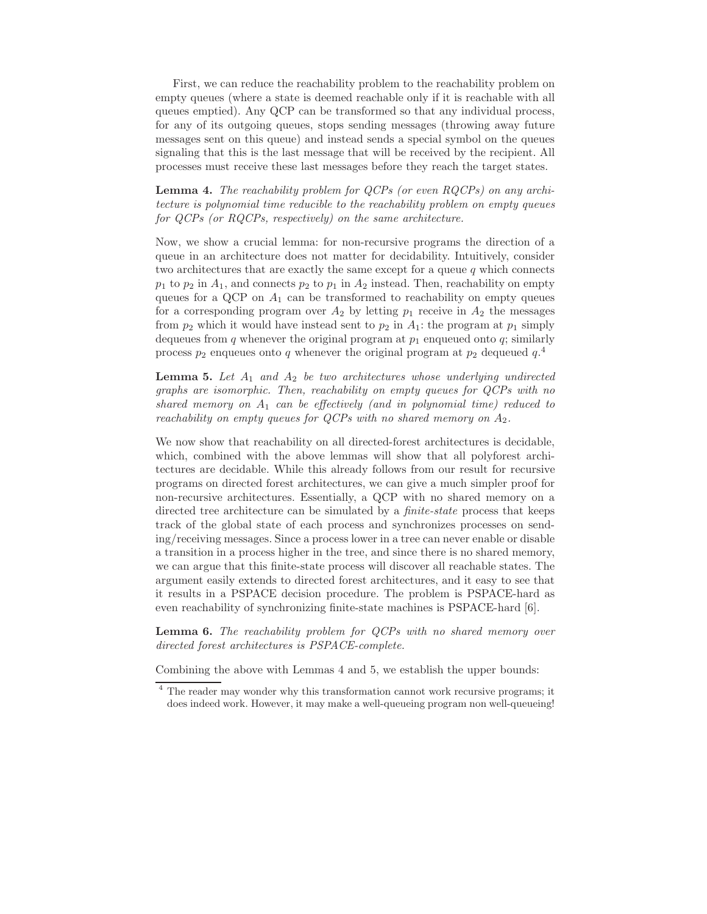First, we can reduce the reachability problem to the reachability problem on empty queues (where a state is deemed reachable only if it is reachable with all queues emptied). Any QCP can be transformed so that any individual process, for any of its outgoing queues, stops sending messages (throwing away future messages sent on this queue) and instead sends a special symbol on the queues signaling that this is the last message that will be received by the recipient. All processes must receive these last messages before they reach the target states.

**Lemma 4.** The reachability problem for  $QCPs$  (or even  $RQCPs$ ) on any architecture is polynomial time reducible to the reachability problem on empty queues for QCPs (or RQCPs, respectively) on the same architecture.

Now, we show a crucial lemma: for non-recursive programs the direction of a queue in an architecture does not matter for decidability. Intuitively, consider two architectures that are exactly the same except for a queue  $q$  which connects  $p_1$  to  $p_2$  in  $A_1$ , and connects  $p_2$  to  $p_1$  in  $A_2$  instead. Then, reachability on empty queues for a QCP on  $A_1$  can be transformed to reachability on empty queues for a corresponding program over  $A_2$  by letting  $p_1$  receive in  $A_2$  the messages from  $p_2$  which it would have instead sent to  $p_2$  in  $A_1$ : the program at  $p_1$  simply dequeues from  $q$  whenever the original program at  $p_1$  enqueued onto  $q$ ; similarly process  $p_2$  enqueues onto q whenever the original program at  $p_2$  dequeued  $q$ <sup>4</sup>

**Lemma 5.** Let  $A_1$  and  $A_2$  be two architectures whose underlying undirected graphs are isomorphic. Then, reachability on empty queues for QCPs with no shared memory on  $A_1$  can be effectively (and in polynomial time) reduced to reachability on empty queues for QCPs with no shared memory on  $A_2$ .

We now show that reachability on all directed-forest architectures is decidable, which, combined with the above lemmas will show that all polyforest architectures are decidable. While this already follows from our result for recursive programs on directed forest architectures, we can give a much simpler proof for non-recursive architectures. Essentially, a QCP with no shared memory on a directed tree architecture can be simulated by a *finite-state* process that keeps track of the global state of each process and synchronizes processes on sending/receiving messages. Since a process lower in a tree can never enable or disable a transition in a process higher in the tree, and since there is no shared memory, we can argue that this finite-state process will discover all reachable states. The argument easily extends to directed forest architectures, and it easy to see that it results in a PSPACE decision procedure. The problem is PSPACE-hard as even reachability of synchronizing finite-state machines is PSPACE-hard [6].

Lemma 6. The reachability problem for QCPs with no shared memory over directed forest architectures is PSPACE-complete.

Combining the above with Lemmas 4 and 5, we establish the upper bounds:

<sup>&</sup>lt;sup>4</sup> The reader may wonder why this transformation cannot work recursive programs; it does indeed work. However, it may make a well-queueing program non well-queueing!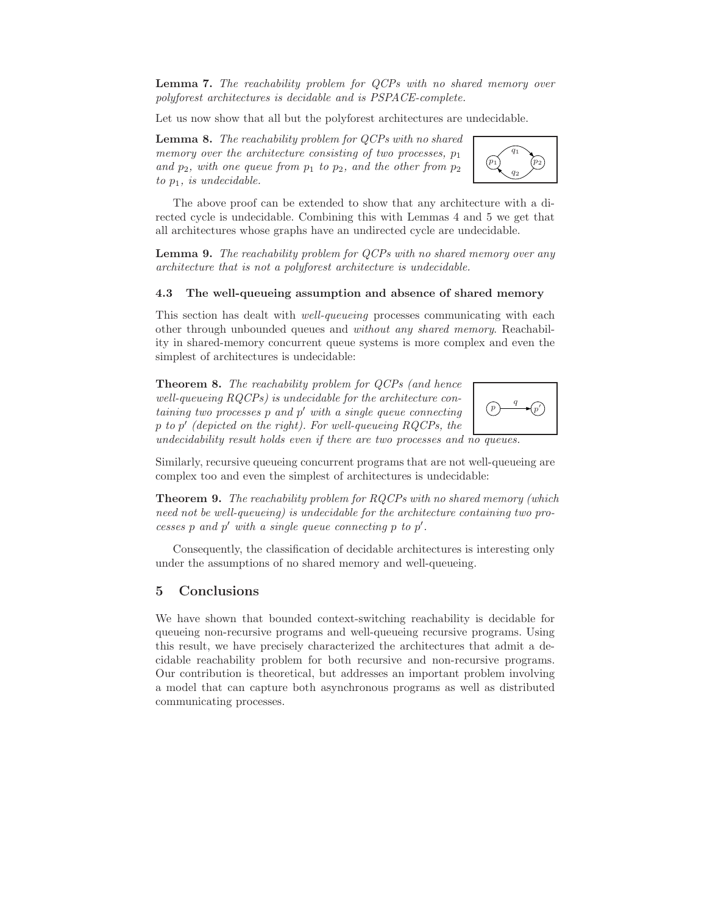Lemma 7. The reachability problem for QCPs with no shared memory over polyforest architectures is decidable and is PSPACE-complete.

Let us now show that all but the polyforest architectures are undecidable.

Lemma 8. The reachability problem for QCPs with no shared memory over the architecture consisting of two processes,  $p_1$ and  $p_2$ , with one queue from  $p_1$  to  $p_2$ , and the other from  $p_2$ to  $p_1$ , is undecidable.



The above proof can be extended to show that any architecture with a directed cycle is undecidable. Combining this with Lemmas 4 and 5 we get that all architectures whose graphs have an undirected cycle are undecidable.

Lemma 9. The reachability problem for QCPs with no shared memory over any architecture that is not a polyforest architecture is undecidable.

## 4.3 The well-queueing assumption and absence of shared memory

This section has dealt with well-queueing processes communicating with each other through unbounded queues and without any shared memory. Reachability in shared-memory concurrent queue systems is more complex and even the simplest of architectures is undecidable:

Theorem 8. The reachability problem for QCPs (and hence well-queueing RQCPs) is undecidable for the architecture containing two processes p and p' with a single queue connecting p to p' (depicted on the right). For well-queueing RQCPs, the



undecidability result holds even if there are two processes and no queues.

Similarly, recursive queueing concurrent programs that are not well-queueing are complex too and even the simplest of architectures is undecidable:

Theorem 9. The reachability problem for RQCPs with no shared memory (which need not be well-queueing) is undecidable for the architecture containing two processes  $p$  and  $p'$  with a single queue connecting  $p$  to  $p'$ .

Consequently, the classification of decidable architectures is interesting only under the assumptions of no shared memory and well-queueing.

## 5 Conclusions

We have shown that bounded context-switching reachability is decidable for queueing non-recursive programs and well-queueing recursive programs. Using this result, we have precisely characterized the architectures that admit a decidable reachability problem for both recursive and non-recursive programs. Our contribution is theoretical, but addresses an important problem involving a model that can capture both asynchronous programs as well as distributed communicating processes.